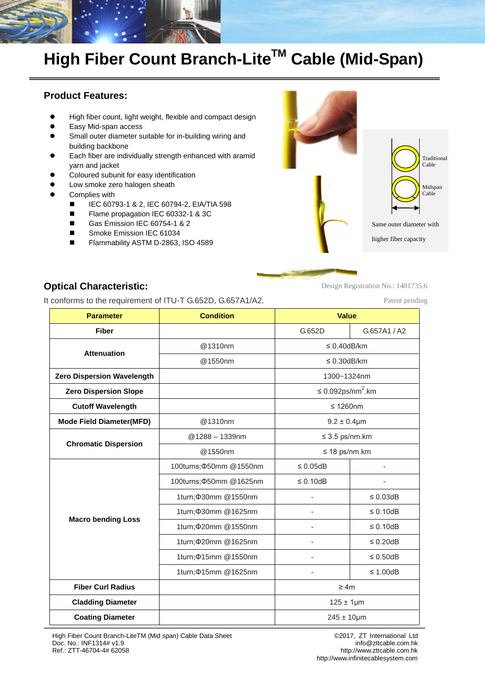

# **High Fiber Count Branch-LiteTM Cable (Mid-Span)**

## **Product Features:**

- High fiber count, light weight, flexible and compact design
- Easy Mid-span access
- Small outer diameter suitable for in-building wiring and building backbone
- Each fiber are individually strength enhanced with aramid yarn and jacket
- Coloured subunit for easy identification
- Low smoke zero halogen sheath
- Complies with
	- IEC 60793-1 & 2, IEC 60794-2, EIA/TIA 598
	- Flame propagation IEC 60332-1 & 3C
	- Gas Emission IEC 60754-1 & 2
	- Smoke Emission IEC 61034
	- Flammability ASTM D-2863, ISO 4589



**Optical Characteristic:**

It conforms to the requirement of ITU-T G.652D, G.657A1/A2.

Patent pending

Design Registration No.: 1401735.6

| <b>Parameter</b>                  | <b>Condition</b>              | <b>Value</b>                        |                |  |  |  |
|-----------------------------------|-------------------------------|-------------------------------------|----------------|--|--|--|
| <b>Fiber</b>                      |                               | G.652D                              | G.657A1 / A2   |  |  |  |
| <b>Attenuation</b>                | @1310nm                       | $\leq$ 0.40dB/km                    |                |  |  |  |
|                                   | @1550nm                       | $\leq$ 0.30dB/km                    |                |  |  |  |
| <b>Zero Dispersion Wavelength</b> |                               | 1300~1324nm                         |                |  |  |  |
| <b>Zero Dispersion Slope</b>      |                               | $\leq 0.092$ ps/nm <sup>2</sup> .km |                |  |  |  |
| <b>Cutoff Wavelength</b>          |                               | $\leq 1260$ nm                      |                |  |  |  |
| <b>Mode Field Diameter(MFD)</b>   | @1310nm                       | $9.2 \pm 0.4 \mu m$                 |                |  |  |  |
|                                   | $@1288 - 1339$ nm             | $\leq$ 3.5 ps/nm.km                 |                |  |  |  |
| <b>Chromatic Dispersion</b>       | @1550nm                       | $\leq$ 18 ps/nm.km                  |                |  |  |  |
|                                   | 100turns; $\Phi$ 50mm @1550nm | $\leq 0.05$ dB                      |                |  |  |  |
|                                   | 100turns; $\Phi$ 50mm @1625nm | $\leq 0.10$ dB                      |                |  |  |  |
|                                   | 1turn; \$30mm @1550nm         |                                     | $\leq 0.03$ dB |  |  |  |
| <b>Macro bending Loss</b>         | 1turn; \$30mm @1625nm         |                                     | $\leq 0.10$ dB |  |  |  |
|                                   | 1turn; \$20mm @1550nm         | ä,                                  | $\leq 0.10$ dB |  |  |  |
|                                   | 1turn; \$20mm @1625nm         |                                     | $\leq 0.20$ dB |  |  |  |
|                                   | 1turn; $\Phi$ 15mm @1550nm    |                                     | $\leq 0.50$ dB |  |  |  |
|                                   | 1turn; $\Phi$ 15mm @ 1625nm   |                                     | $\leq$ 1.00dB  |  |  |  |
| <b>Fiber Curl Radius</b>          |                               | $\geq 4m$                           |                |  |  |  |
| <b>Cladding Diameter</b>          |                               | $125 \pm 1 \mu m$                   |                |  |  |  |
| <b>Coating Diameter</b>           |                               | $245 \pm 10 \mu m$                  |                |  |  |  |

High Fiber Count Branch-LiteTM (Mid span) Cable Data Sheet Doc. No.: INF1314# v1.9 Ref.: ZTT-46704-4# 62058

© 2017, ZT International Ltd [info@zttcable.com.h](mailto:info@zttcable.com)k http://www.zttcable.com.hk [http://www.infinitecablesystem.com](http://www.infinitecablesystem.com/)